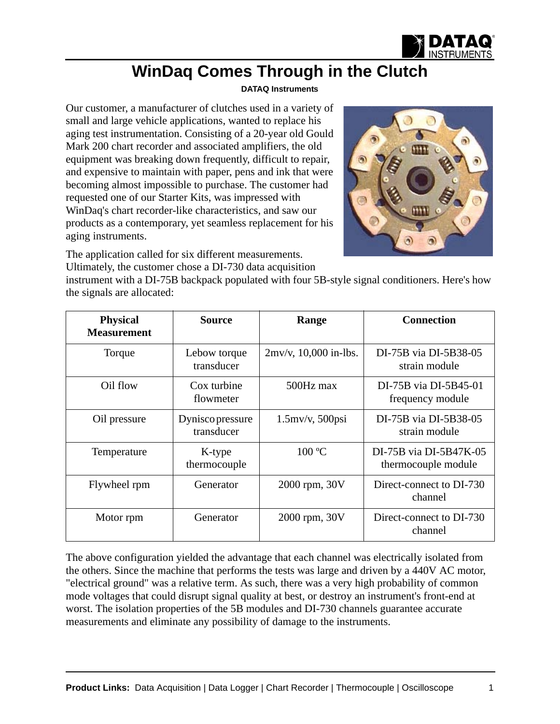

## **WinDaq Comes Through in the Clutch**

## **[DATAQ Instruments](http://www.dataq.com)**

Our customer, a manufacturer of clutches used in a variety of small and large vehicle applications, wanted to replace his aging test instrumentation. Consisting of a 20-year old Gould Mark 200 chart recorder and associated amplifiers, the old equipment was breaking down frequently, difficult to repair, and expensive to maintain with paper, pens and ink that were becoming almost impossible to purchase. The customer had requested one of our Starter Kits, was impressed with WinDaq's chart recorder-like characteristics, and saw our products as a contemporary, yet seamless replacement for his aging instruments.

The application called for six different measurements. Ultimately, the customer chose a DI-730 data acquisition



instrument with a DI-75B backpack populated with four 5B-style signal conditioners. Here's how the signals are allocated:

| <b>Physical</b><br><b>Measurement</b> | <b>Source</b>                        | Range                    | <b>Connection</b>                             |  |  |  |  |  |
|---------------------------------------|--------------------------------------|--------------------------|-----------------------------------------------|--|--|--|--|--|
| Torque                                | Lebow torque<br>transducer           | $2mv/v$ , 10,000 in-lbs. | DI-75B via DI-5B38-05<br>strain module        |  |  |  |  |  |
| Oil flow                              | Cox turbine<br>flowmeter             | 500Hz max                | DI-75B via DI-5B45-01<br>frequency module     |  |  |  |  |  |
| Oil pressure                          | <b>Dyniscopressure</b><br>transducer | $1.5$ mv/v, $500$ psi    | DI-75B via DI-5B38-05<br>strain module        |  |  |  |  |  |
| Temperature                           | K-type<br>thermocouple               | 100 °C                   | DI-75B via DI-5B47K-05<br>thermocouple module |  |  |  |  |  |
| Flywheel rpm                          | Generator                            | 2000 rpm, 30V            | Direct-connect to DI-730<br>channel           |  |  |  |  |  |
| Motor rpm                             | Generator                            | 2000 rpm, 30V            | Direct-connect to DI-730<br>channel           |  |  |  |  |  |

The above configuration yielded the advantage that each channel was electrically isolated from the others. Since the machine that performs the tests was large and driven by a 440V AC motor, "electrical ground" was a relative term. As such, there was a very high probability of common mode voltages that could disrupt signal quality at best, or destroy an instrument's front-end at worst. The isolation properties of the 5B modules and DI-730 channels guarantee accurate measurements and eliminate any possibility of damage to the instruments.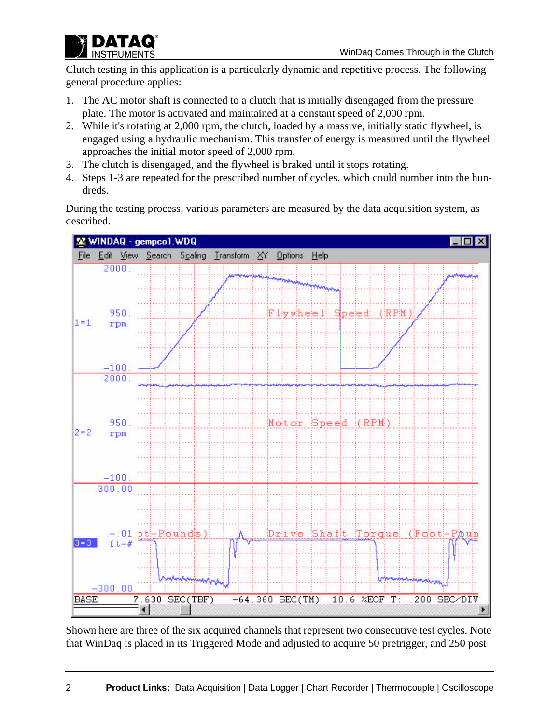

Clutch testing in this application is a particularly dynamic and repetitive process. The following general procedure applies:

- 1. The AC motor shaft is connected to a clutch that is initially disengaged from the pressure plate. The motor is activated and maintained at a constant speed of 2,000 rpm.
- 2. While it's rotating at 2,000 rpm, the clutch, loaded by a massive, initially static flywheel, is engaged using a hydraulic mechanism. This transfer of energy is measured until the flywheel approaches the initial motor speed of 2,000 rpm.
- 3. The clutch is disengaged, and the flywheel is braked until it stops rotating.
- 4. Steps 1-3 are repeated for the prescribed number of cycles, which could number into the hundreds.

During the testing process, various parameters are measured by the data acquisition system, as described.



Shown here are three of the six acquired channels that represent two consecutive test cycles. Note that WinDaq is placed in its Triggered Mode and adjusted to acquire 50 pretrigger, and 250 post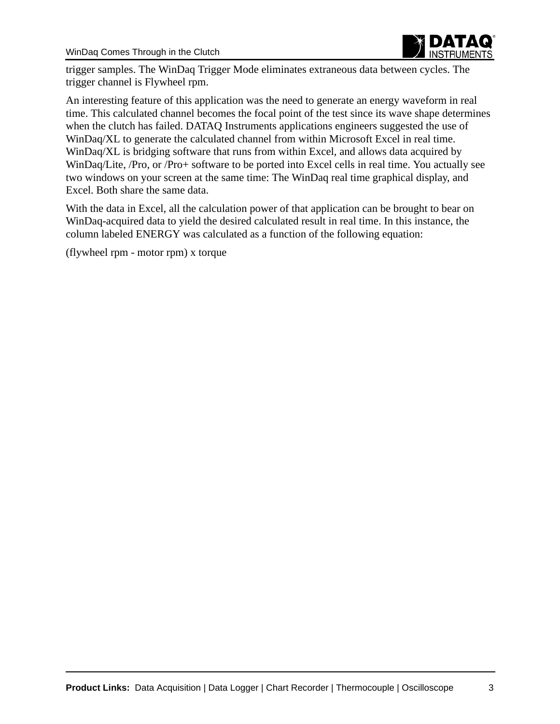

trigger samples. The WinDaq Trigger Mode eliminates extraneous data between cycles. The trigger channel is Flywheel rpm.

An interesting feature of this application was the need to generate an energy waveform in real time. This calculated channel becomes the focal point of the test since its wave shape determines when the clutch has failed. DATAQ Instruments applications engineers suggested the use of WinDaq/XL to generate the calculated channel from within Microsoft Excel in real time. WinDaq/XL is bridging software that runs from within Excel, and allows data acquired by WinDaq/Lite, /Pro, or /Pro+ software to be ported into Excel cells in real time. You actually see two windows on your screen at the same time: The WinDaq real time graphical display, and Excel. Both share the same data.

With the data in Excel, all the calculation power of that application can be brought to bear on WinDaq-acquired data to yield the desired calculated result in real time. In this instance, the column labeled ENERGY was calculated as a function of the following equation:

(flywheel rpm - motor rpm) x torque